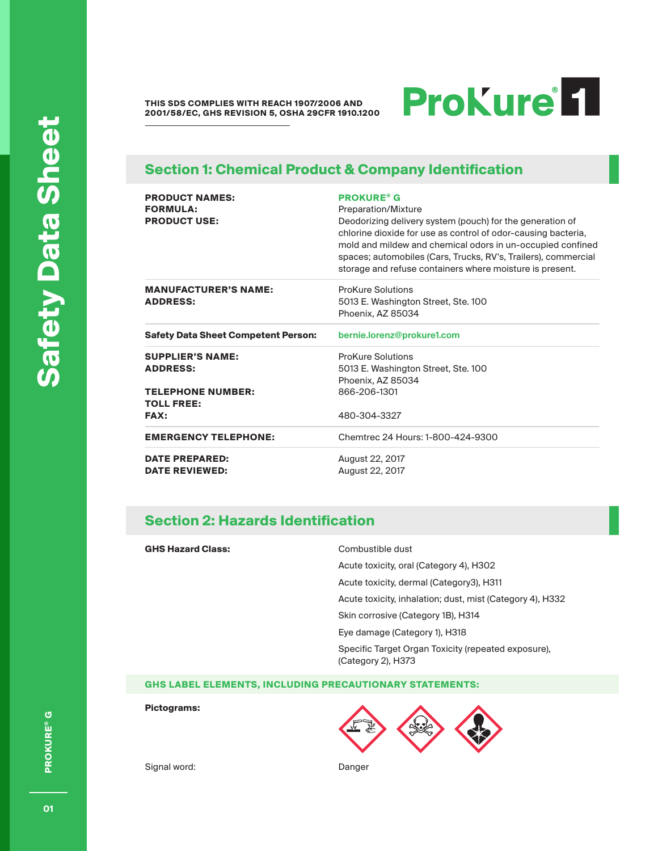**THIS SDS COMPLIES WITH REACH 1907/2006 AND 2001/58/EC, GHS REVISION 5, OSHA 29CFR 1910.1200**

# ProKure<sup>1</sup>

### **Section 1: Chemical Product & Company Identification**

| <b>PRODUCT NAMES:</b><br><b>FORMULA:</b><br><b>PRODUCT USE:</b>        | <b>PROKURE® G</b><br>Preparation/Mixture<br>Deodorizing delivery system (pouch) for the generation of<br>chlorine dioxide for use as control of odor-causing bacteria,<br>mold and mildew and chemical odors in un-occupied confined<br>spaces; automobiles (Cars, Trucks, RV's, Trailers), commercial<br>storage and refuse containers where moisture is present. |
|------------------------------------------------------------------------|--------------------------------------------------------------------------------------------------------------------------------------------------------------------------------------------------------------------------------------------------------------------------------------------------------------------------------------------------------------------|
| <b>MANUFACTURER'S NAME:</b><br><b>ADDRESS:</b>                         | <b>ProKure Solutions</b><br>5013 E. Washington Street, Ste. 100<br>Phoenix, AZ 85034                                                                                                                                                                                                                                                                               |
| <b>Safety Data Sheet Competent Person:</b>                             | bernie.lorenz@prokure1.com                                                                                                                                                                                                                                                                                                                                         |
| <b>SUPPLIER'S NAME:</b><br><b>ADDRESS:</b><br><b>TELEPHONE NUMBER:</b> | <b>ProKure Solutions</b><br>5013 E. Washington Street, Ste. 100<br>Phoenix, AZ 85034<br>866-206-1301                                                                                                                                                                                                                                                               |
| <b>TOLL FREE:</b><br><b>FAX:</b>                                       | 480-304-3327                                                                                                                                                                                                                                                                                                                                                       |
| <b>EMERGENCY TELEPHONE:</b>                                            | Chemtrec 24 Hours: 1-800-424-9300                                                                                                                                                                                                                                                                                                                                  |
| <b>DATE PREPARED:</b><br><b>DATE REVIEWED:</b>                         | August 22, 2017<br>August 22, 2017                                                                                                                                                                                                                                                                                                                                 |

### **Section 2: Hazards Identification**

#### **GHS Hazard Class:** Combustible dust

Acute toxicity, oral (Category 4), H302

Acute toxicity, dermal (Category3), H311

Acute toxicity, inhalation; dust, mist (Category 4), H332

Skin corrosive (Category 1B), H314

Eye damage (Category 1), H318

Specific Target Organ Toxicity (repeated exposure), (Category 2), H373

**GHS LABEL ELEMENTS, INCLUDING PRECAUTIONARY STATEMENTS:**

**Pictograms:**



Signal word: Danger

PROKURE® G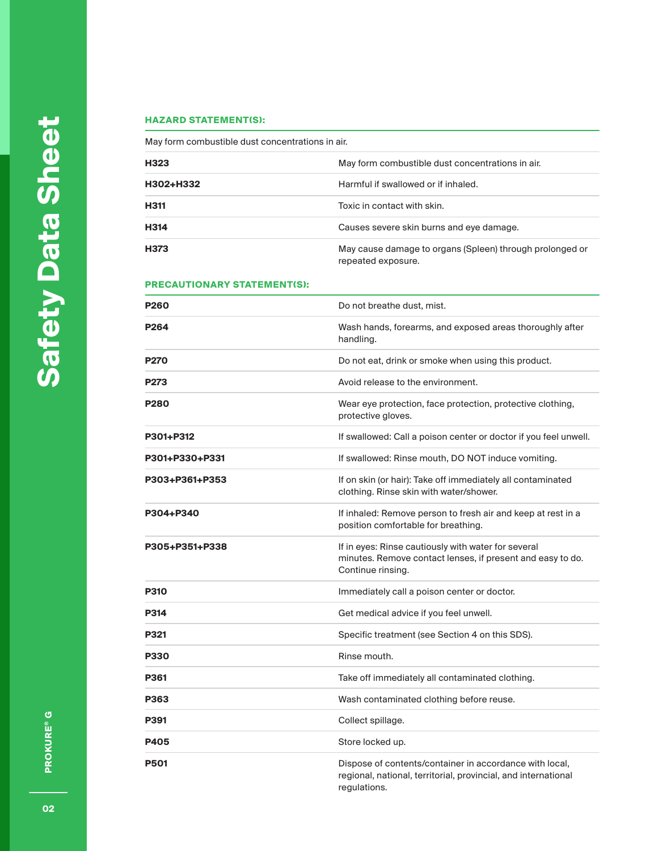#### **HAZARD STATEMENT(S):**

May form combustible dust concentrations in air.

| H323        | May form combustible dust concentrations in air.                               |
|-------------|--------------------------------------------------------------------------------|
| H302+H332   | Harmful if swallowed or if inhaled.                                            |
| <b>H311</b> | Toxic in contact with skin.                                                    |
| H314        | Causes severe skin burns and eye damage.                                       |
| <b>H373</b> | May cause damage to organs (Spleen) through prolonged or<br>repeated exposure. |

#### **PRECAUTIONARY STATEMENT(S):**

| <b>P260</b>      | Do not breathe dust, mist.                                                                                                                |
|------------------|-------------------------------------------------------------------------------------------------------------------------------------------|
| P <sub>264</sub> | Wash hands, forearms, and exposed areas thoroughly after<br>handling.                                                                     |
| <b>P270</b>      | Do not eat, drink or smoke when using this product.                                                                                       |
| P273             | Avoid release to the environment.                                                                                                         |
| <b>P280</b>      | Wear eye protection, face protection, protective clothing,<br>protective gloves.                                                          |
| P301+P312        | If swallowed: Call a poison center or doctor if you feel unwell.                                                                          |
| P301+P330+P331   | If swallowed: Rinse mouth, DO NOT induce vomiting.                                                                                        |
| P303+P361+P353   | If on skin (or hair): Take off immediately all contaminated<br>clothing. Rinse skin with water/shower.                                    |
| P304+P340        | If inhaled: Remove person to fresh air and keep at rest in a<br>position comfortable for breathing.                                       |
| P305+P351+P338   | If in eyes: Rinse cautiously with water for several<br>minutes. Remove contact lenses, if present and easy to do.<br>Continue rinsing.    |
| <b>P310</b>      | Immediately call a poison center or doctor.                                                                                               |
| <b>P314</b>      | Get medical advice if you feel unwell.                                                                                                    |
| P321             | Specific treatment (see Section 4 on this SDS).                                                                                           |
| <b>P330</b>      | Rinse mouth.                                                                                                                              |
| P361             | Take off immediately all contaminated clothing.                                                                                           |
| P363             | Wash contaminated clothing before reuse.                                                                                                  |
| P391             | Collect spillage.                                                                                                                         |
| <b>P405</b>      | Store locked up.                                                                                                                          |
| <b>P501</b>      | Dispose of contents/container in accordance with local,<br>regional, national, territorial, provincial, and international<br>regulations. |

**PROKURE® G 02PROKURE® G**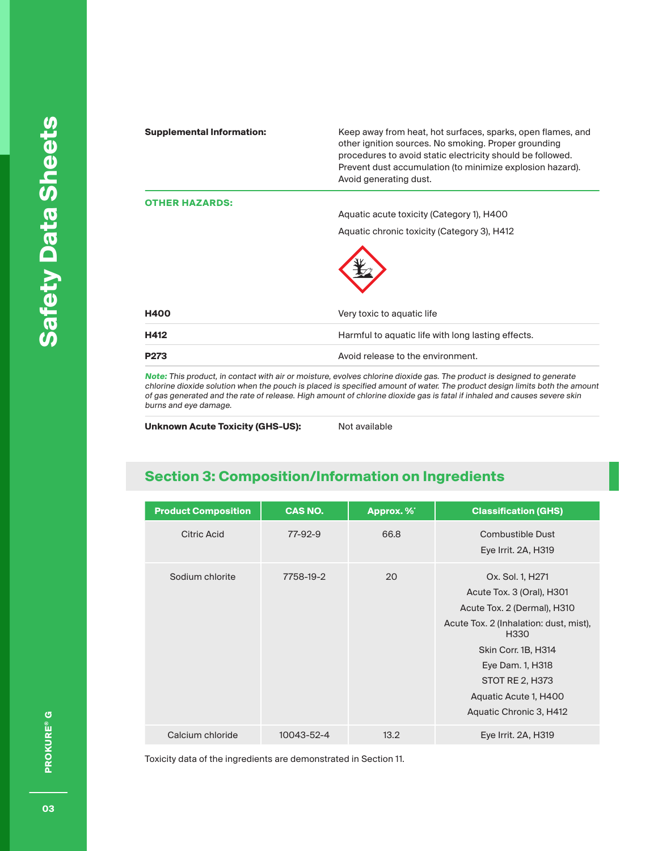| <b>Supplemental Information:</b> | Keep away from heat, hot surfaces, sparks, open flames, and<br>other ignition sources. No smoking. Proper grounding<br>procedures to avoid static electricity should be followed.<br>Prevent dust accumulation (to minimize explosion hazard).<br>Avoid generating dust. |
|----------------------------------|--------------------------------------------------------------------------------------------------------------------------------------------------------------------------------------------------------------------------------------------------------------------------|
| <b>HER HAZARDS:</b>              |                                                                                                                                                                                                                                                                          |
|                                  | Aquatic acute toxicity (Category 1), H400                                                                                                                                                                                                                                |
|                                  | Aquatic chronic toxicity (Category 3), H412                                                                                                                                                                                                                              |
|                                  |                                                                                                                                                                                                                                                                          |
| <b>H400</b>                      | Very toxic to aquatic life                                                                                                                                                                                                                                               |
| H412                             | Harmful to aquatic life with long lasting effects.                                                                                                                                                                                                                       |
| P273                             | Avoid release to the environment.                                                                                                                                                                                                                                        |
|                                  | is This and duck in contrattually air an accidence and contracted about the acceptive and in decision of the moment                                                                                                                                                      |

**Note:** This product, in contact with air or moisture, evolves chlorine dioxide gas. The product is designed to generate chlorine dioxide solution when the pouch is placed is specified amount of water. The product design limits both the amount of gas generated and the rate of release. High amount of chlorine dioxide gas is fatal if inhaled and causes severe skin burns and eye damage.

**Unknown Acute Toxicity (GHS-US):** Not available

# **Section 3: Composition/Information on Ingredients**

| <b>Product Composition</b> | <b>CAS NO.</b> | Approx. %* | <b>Classification (GHS)</b>                                                                                                                                                                                                                                         |
|----------------------------|----------------|------------|---------------------------------------------------------------------------------------------------------------------------------------------------------------------------------------------------------------------------------------------------------------------|
| Citric Acid                | 77-92-9        | 66.8       | Combustible Dust<br>Eye Irrit. 2A, H319                                                                                                                                                                                                                             |
| Sodium chlorite            | 7758-19-2      | 20         | Ox. Sol. 1, H271<br>Acute Tox. 3 (Oral), H301<br>Acute Tox. 2 (Dermal), H310<br>Acute Tox. 2 (Inhalation: dust, mist),<br>H <sub>330</sub><br>Skin Corr. 1B, H314<br>Eye Dam. 1, H318<br><b>STOT RE 2, H373</b><br>Aquatic Acute 1, H400<br>Aquatic Chronic 3, H412 |
| Calcium chloride           | 10043-52-4     | 13.2       | Eye Irrit. 2A, H319                                                                                                                                                                                                                                                 |

Toxicity data of the ingredients are demonstrated in Section 11.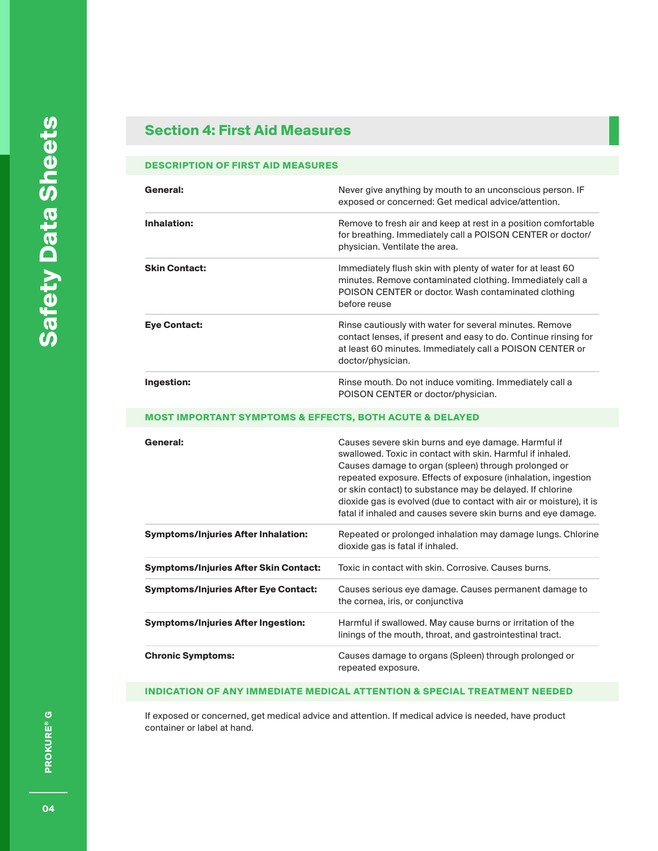# **Section 4: First Aid Measures**

#### **DESCRIPTION OF FIRST AID MEASURES**

| General:             | Never give anything by mouth to an unconscious person. IF<br>exposed or concerned: Get medical advice/attention.                                                                                            |
|----------------------|-------------------------------------------------------------------------------------------------------------------------------------------------------------------------------------------------------------|
| Inhalation:          | Remove to fresh air and keep at rest in a position comfortable<br>for breathing. Immediately call a POISON CENTER or doctor/<br>physician. Ventilate the area.                                              |
| <b>Skin Contact:</b> | Immediately flush skin with plenty of water for at least 60<br>minutes. Remove contaminated clothing. Immediately call a<br>POISON CENTER or doctor. Wash contaminated clothing<br>before reuse             |
| <b>Eye Contact:</b>  | Rinse cautiously with water for several minutes. Remove<br>contact lenses, if present and easy to do. Continue rinsing for<br>at least 60 minutes. Immediately call a POISON CENTER or<br>doctor/physician. |
| Ingestion:           | Rinse mouth. Do not induce vomiting. Immediately call a<br>POISON CENTER or doctor/physician.                                                                                                               |

#### **MOST IMPORTANT SYMPTOMS & EFFECTS, BOTH ACUTE & DELAYED**

| General:                                     | Causes severe skin burns and eye damage. Harmful if<br>swallowed. Toxic in contact with skin. Harmful if inhaled.<br>Causes damage to organ (spleen) through prolonged or<br>repeated exposure. Effects of exposure (inhalation, ingestion<br>or skin contact) to substance may be delayed. If chlorine<br>dioxide gas is evolved (due to contact with air or moisture), it is<br>fatal if inhaled and causes severe skin burns and eye damage. |
|----------------------------------------------|-------------------------------------------------------------------------------------------------------------------------------------------------------------------------------------------------------------------------------------------------------------------------------------------------------------------------------------------------------------------------------------------------------------------------------------------------|
| <b>Symptoms/Injuries After Inhalation:</b>   | Repeated or prolonged inhalation may damage lungs. Chlorine<br>dioxide gas is fatal if inhaled.                                                                                                                                                                                                                                                                                                                                                 |
| <b>Symptoms/Injuries After Skin Contact:</b> | Toxic in contact with skin. Corrosive, Causes burns.                                                                                                                                                                                                                                                                                                                                                                                            |
| <b>Symptoms/Injuries After Eye Contact:</b>  | Causes serious eye damage. Causes permanent damage to<br>the cornea, iris, or conjunctiva                                                                                                                                                                                                                                                                                                                                                       |
| <b>Symptoms/Injuries After Ingestion:</b>    | Harmful if swallowed. May cause burns or irritation of the<br>linings of the mouth, throat, and gastrointestinal tract.                                                                                                                                                                                                                                                                                                                         |
| <b>Chronic Symptoms:</b>                     | Causes damage to organs (Spleen) through prolonged or<br>repeated exposure.                                                                                                                                                                                                                                                                                                                                                                     |

### **INDICATION OF ANY IMMEDIATE MEDICAL ATTENTION & SPECIAL TREATMENT NEEDED**

If exposed or concerned, get medical advice and attention. If medical advice is needed, have product container or label at hand.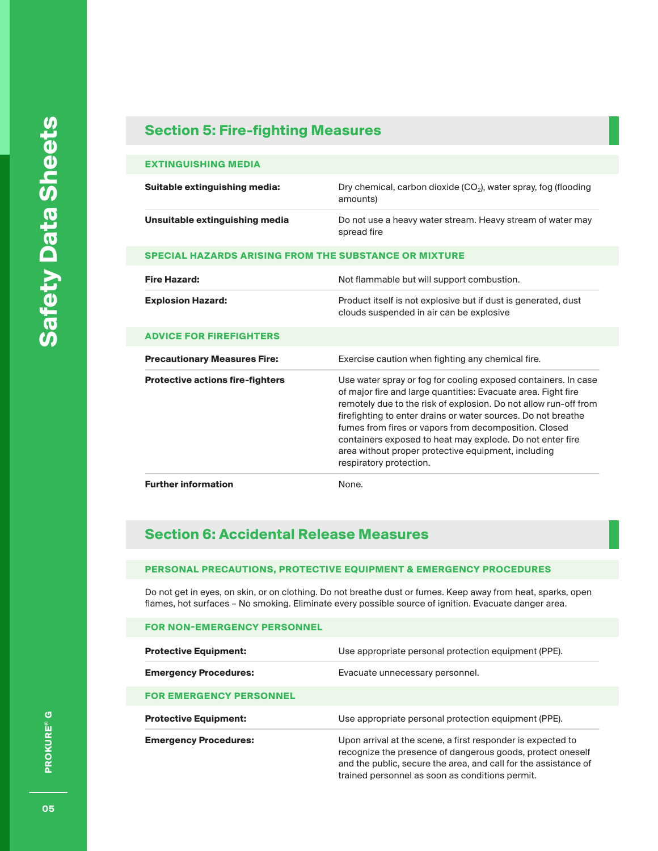### **Section 5: Fire-fighting Measures**

#### **EXTINGUISHING MEDIA**

| Suitable extinguishing media:                                | Dry chemical, carbon dioxide $(CO_2)$ , water spray, fog (flooding<br>amounts)                                                                                                                                                                                                                                                                                                                                                                                               |
|--------------------------------------------------------------|------------------------------------------------------------------------------------------------------------------------------------------------------------------------------------------------------------------------------------------------------------------------------------------------------------------------------------------------------------------------------------------------------------------------------------------------------------------------------|
| Unsuitable extinguishing media                               | Do not use a heavy water stream. Heavy stream of water may<br>spread fire                                                                                                                                                                                                                                                                                                                                                                                                    |
| <b>SPECIAL HAZARDS ARISING FROM THE SUBSTANCE OR MIXTURE</b> |                                                                                                                                                                                                                                                                                                                                                                                                                                                                              |
| <b>Fire Hazard:</b>                                          | Not flammable but will support combustion.                                                                                                                                                                                                                                                                                                                                                                                                                                   |
| <b>Explosion Hazard:</b>                                     | Product itself is not explosive but if dust is generated, dust<br>clouds suspended in air can be explosive                                                                                                                                                                                                                                                                                                                                                                   |
| <b>ADVICE FOR FIREFIGHTERS</b>                               |                                                                                                                                                                                                                                                                                                                                                                                                                                                                              |
| <b>Precautionary Measures Fire:</b>                          | Exercise caution when fighting any chemical fire.                                                                                                                                                                                                                                                                                                                                                                                                                            |
| <b>Protective actions fire-fighters</b>                      | Use water spray or fog for cooling exposed containers. In case<br>of major fire and large quantities: Evacuate area. Fight fire<br>remotely due to the risk of explosion. Do not allow run-off from<br>firefighting to enter drains or water sources. Do not breathe<br>fumes from fires or vapors from decomposition. Closed<br>containers exposed to heat may explode. Do not enter fire<br>area without proper protective equipment, including<br>respiratory protection. |
| <b>Further information</b>                                   | None.                                                                                                                                                                                                                                                                                                                                                                                                                                                                        |

# **Section 6: Accidental Release Measures**

**FOR NON-EMERGENCY PERSONNEL**

#### **PERSONAL PRECAUTIONS, PROTECTIVE EQUIPMENT & EMERGENCY PROCEDURES**

Do not get in eyes, on skin, or on clothing. Do not breathe dust or fumes. Keep away from heat, sparks, open flames, hot surfaces – No smoking. Eliminate every possible source of ignition. Evacuate danger area.

| <b>Protective Equipment:</b>   | Use appropriate personal protection equipment (PPE).                                                                                                                                                                                            |
|--------------------------------|-------------------------------------------------------------------------------------------------------------------------------------------------------------------------------------------------------------------------------------------------|
| <b>Emergency Procedures:</b>   | Evacuate unnecessary personnel.                                                                                                                                                                                                                 |
| <b>FOR EMERGENCY PERSONNEL</b> |                                                                                                                                                                                                                                                 |
| <b>Protective Equipment:</b>   | Use appropriate personal protection equipment (PPE).                                                                                                                                                                                            |
| <b>Emergency Procedures:</b>   | Upon arrival at the scene, a first responder is expected to<br>recognize the presence of dangerous goods, protect oneself<br>and the public, secure the area, and call for the assistance of<br>trained personnel as soon as conditions permit. |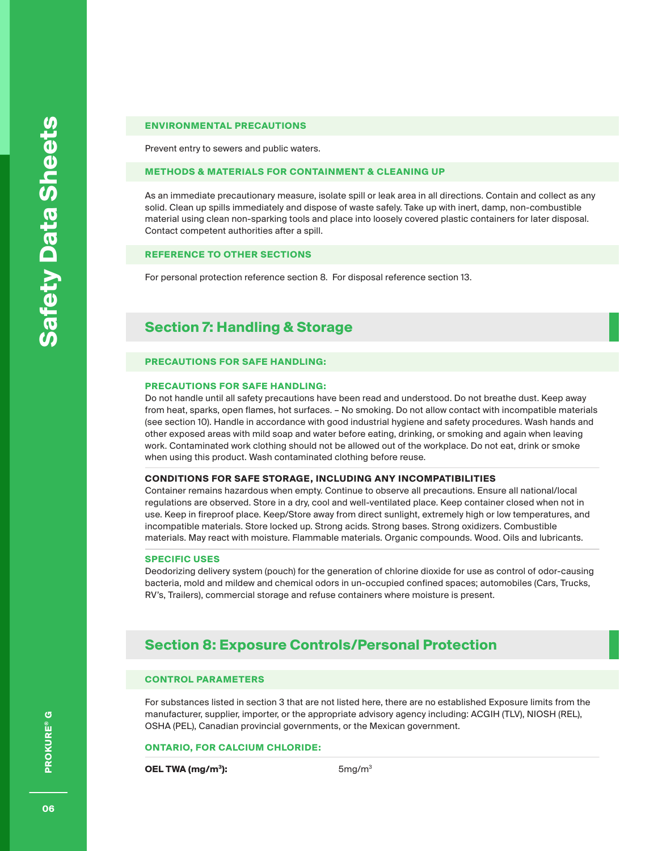#### **ENVIRONMENTAL PRECAUTIONS**

Prevent entry to sewers and public waters.

#### **METHODS & MATERIALS FOR CONTAINMENT & CLEANING UP**

As an immediate precautionary measure, isolate spill or leak area in all directions. Contain and collect as any solid. Clean up spills immediately and dispose of waste safely. Take up with inert, damp, non-combustible material using clean non-sparking tools and place into loosely covered plastic containers for later disposal. Contact competent authorities after a spill.

#### **REFERENCE TO OTHER SECTIONS**

For personal protection reference section 8. For disposal reference section 13.

### **Section 7: Handling & Storage**

#### **PRECAUTIONS FOR SAFE HANDLING:**

#### **PRECAUTIONS FOR SAFE HANDLING:**

Do not handle until all safety precautions have been read and understood. Do not breathe dust. Keep away from heat, sparks, open flames, hot surfaces. – No smoking. Do not allow contact with incompatible materials (see section 10). Handle in accordance with good industrial hygiene and safety procedures. Wash hands and other exposed areas with mild soap and water before eating, drinking, or smoking and again when leaving work. Contaminated work clothing should not be allowed out of the workplace. Do not eat, drink or smoke when using this product. Wash contaminated clothing before reuse.

#### **CONDITIONS FOR SAFE STORAGE, INCLUDING ANY INCOMPATIBILITIES**

Container remains hazardous when empty. Continue to observe all precautions. Ensure all national/local regulations are observed. Store in a dry, cool and well-ventilated place. Keep container closed when not in use. Keep in fireproof place. Keep/Store away from direct sunlight, extremely high or low temperatures, and incompatible materials. Store locked up. Strong acids. Strong bases. Strong oxidizers. Combustible materials. May react with moisture. Flammable materials. Organic compounds. Wood. Oils and lubricants.

#### **SPECIFIC USES**

Deodorizing delivery system (pouch) for the generation of chlorine dioxide for use as control of odor-causing bacteria, mold and mildew and chemical odors in un-occupied confined spaces; automobiles (Cars, Trucks, RV's, Trailers), commercial storage and refuse containers where moisture is present.

### **Section 8: Exposure Controls/Personal Protection**

#### **CONTROL PARAMETERS**

For substances listed in section 3 that are not listed here, there are no established Exposure limits from the manufacturer, supplier, importer, or the appropriate advisory agency including: ACGIH (TLV), NIOSH (REL), OSHA (PEL), Canadian provincial governments, or the Mexican government.

#### **ONTARIO, FOR CALCIUM CHLORIDE:**

**OEL TWA (mg/m<sup>3</sup>):** 5mg/m<sup>3</sup>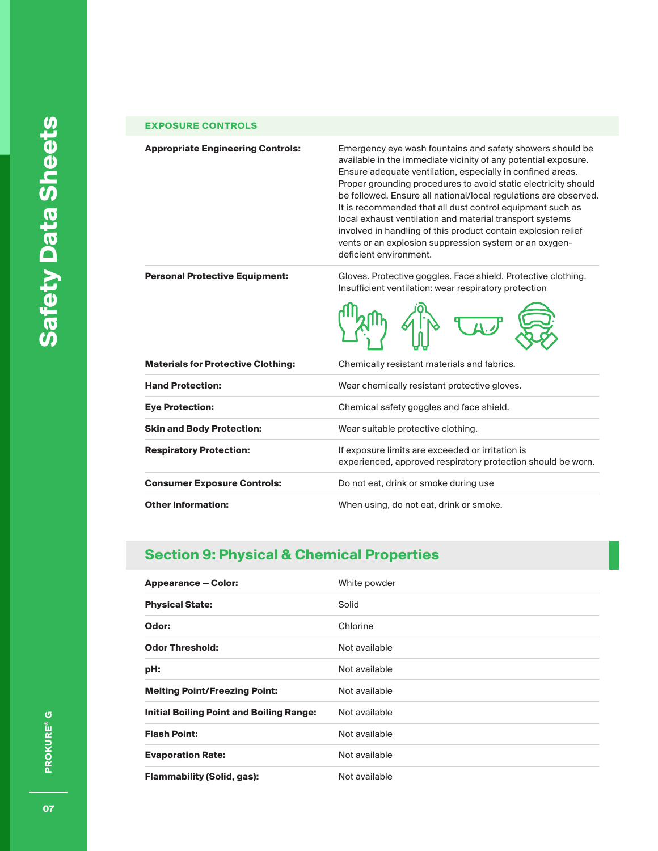#### **EXPOSURE CONTROLS**

**Appropriate Engineering Controls:** Emergency eye wash fountains and safety showers should be available in the immediate vicinity of any potential exposure. Ensure adequate ventilation, especially in confined areas. Proper grounding procedures to avoid static electricity should be followed. Ensure all national/local regulations are observed. It is recommended that all dust control equipment such as local exhaust ventilation and material transport systems involved in handling of this product contain explosion relief vents or an explosion suppression system or an oxygendeficient environment.

**Personal Protective Equipment:** Gloves. Protective goggles. Face shield. Protective clothing. Insufficient ventilation: wear respiratory protection

柳 佛 女易

|                                           | WW                                                                                                               |  |
|-------------------------------------------|------------------------------------------------------------------------------------------------------------------|--|
| <b>Materials for Protective Clothing:</b> | Chemically resistant materials and fabrics.                                                                      |  |
| <b>Hand Protection:</b>                   | Wear chemically resistant protective gloves.                                                                     |  |
| <b>Eye Protection:</b>                    | Chemical safety goggles and face shield.                                                                         |  |
| <b>Skin and Body Protection:</b>          | Wear suitable protective clothing.                                                                               |  |
| <b>Respiratory Protection:</b>            | If exposure limits are exceeded or irritation is<br>experienced, approved respiratory protection should be worn. |  |
| <b>Consumer Exposure Controls:</b>        | Do not eat, drink or smoke during use                                                                            |  |
| <b>Other Information:</b>                 | When using, do not eat, drink or smoke.                                                                          |  |

### **Section 9: Physical & Chemical Properties**

| <b>Appearance – Color:</b>               | White powder  |
|------------------------------------------|---------------|
| <b>Physical State:</b>                   | Solid         |
| Odor:                                    | Chlorine      |
| <b>Odor Threshold:</b>                   | Not available |
| pH:                                      | Not available |
| <b>Melting Point/Freezing Point:</b>     | Not available |
| Initial Boiling Point and Boiling Range: | Not available |
| <b>Flash Point:</b>                      | Not available |
| <b>Evaporation Rate:</b>                 | Not available |
| <b>Flammability (Solid, gas):</b>        | Not available |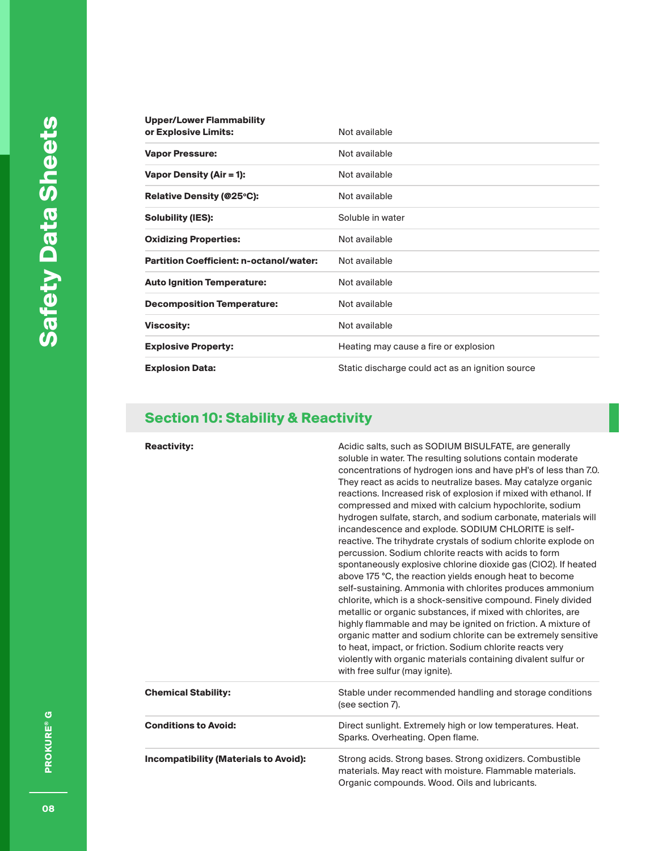| <b>Upper/Lower Flammability</b><br>or Explosive Limits: | Not available                                    |
|---------------------------------------------------------|--------------------------------------------------|
| <b>Vapor Pressure:</b>                                  | Not available                                    |
| <b>Vapor Density (Air = 1):</b>                         | Not available                                    |
| Relative Density (@25°C):                               | Not available                                    |
| <b>Solubility (IES):</b>                                | Soluble in water                                 |
| <b>Oxidizing Properties:</b>                            | Not available                                    |
| <b>Partition Coefficient: n-octanol/water:</b>          | Not available                                    |
| <b>Auto Ignition Temperature:</b>                       | Not available                                    |
| <b>Decomposition Temperature:</b>                       | Not available                                    |
| <b>Viscosity:</b>                                       | Not available                                    |
| <b>Explosive Property:</b>                              | Heating may cause a fire or explosion            |
| <b>Explosion Data:</b>                                  | Static discharge could act as an ignition source |

# **Section 10: Stability & Reactivity**

| <b>Reactivity:</b>                           | Acidic salts, such as SODIUM BISULFATE, are generally<br>soluble in water. The resulting solutions contain moderate<br>concentrations of hydrogen ions and have pH's of less than 7.0.<br>They react as acids to neutralize bases. May catalyze organic<br>reactions. Increased risk of explosion if mixed with ethanol. If<br>compressed and mixed with calcium hypochlorite, sodium<br>hydrogen sulfate, starch, and sodium carbonate, materials will<br>incandescence and explode. SODIUM CHLORITE is self-<br>reactive. The trihydrate crystals of sodium chlorite explode on<br>percussion. Sodium chlorite reacts with acids to form<br>spontaneously explosive chlorine dioxide gas (CIO2). If heated<br>above 175 °C, the reaction yields enough heat to become<br>self-sustaining. Ammonia with chlorites produces ammonium<br>chlorite, which is a shock-sensitive compound. Finely divided<br>metallic or organic substances, if mixed with chlorites, are<br>highly flammable and may be ignited on friction. A mixture of<br>organic matter and sodium chlorite can be extremely sensitive<br>to heat, impact, or friction. Sodium chlorite reacts very<br>violently with organic materials containing divalent sulfur or<br>with free sulfur (may ignite). |
|----------------------------------------------|--------------------------------------------------------------------------------------------------------------------------------------------------------------------------------------------------------------------------------------------------------------------------------------------------------------------------------------------------------------------------------------------------------------------------------------------------------------------------------------------------------------------------------------------------------------------------------------------------------------------------------------------------------------------------------------------------------------------------------------------------------------------------------------------------------------------------------------------------------------------------------------------------------------------------------------------------------------------------------------------------------------------------------------------------------------------------------------------------------------------------------------------------------------------------------------------------------------------------------------------------------------------------|
| <b>Chemical Stability:</b>                   | Stable under recommended handling and storage conditions<br>(see section 7).                                                                                                                                                                                                                                                                                                                                                                                                                                                                                                                                                                                                                                                                                                                                                                                                                                                                                                                                                                                                                                                                                                                                                                                             |
| <b>Conditions to Avoid:</b>                  | Direct sunlight. Extremely high or low temperatures. Heat.<br>Sparks. Overheating. Open flame.                                                                                                                                                                                                                                                                                                                                                                                                                                                                                                                                                                                                                                                                                                                                                                                                                                                                                                                                                                                                                                                                                                                                                                           |
| <b>Incompatibility (Materials to Avoid):</b> | Strong acids. Strong bases. Strong oxidizers. Combustible<br>materials. May react with moisture. Flammable materials.<br>Organic compounds. Wood. Oils and lubricants.                                                                                                                                                                                                                                                                                                                                                                                                                                                                                                                                                                                                                                                                                                                                                                                                                                                                                                                                                                                                                                                                                                   |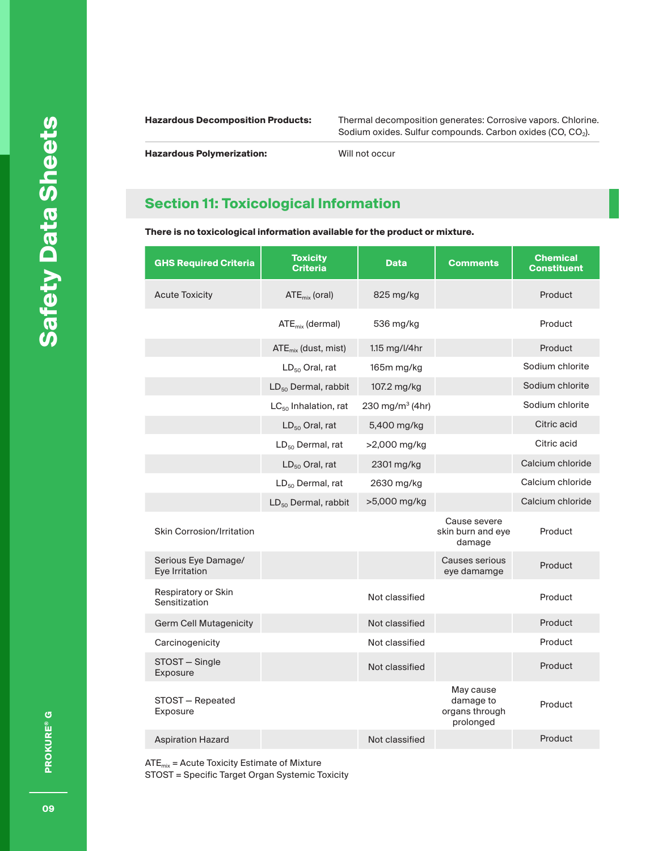**Hazardous Decomposition Products:** Thermal decomposition generates: Corrosive vapors. Chlorine. Sodium oxides. Sulfur compounds. Carbon oxides (CO, CO $_2$ ).

**Hazardous Polymerization:** Will not occur

# **Section 11: Toxicological Information**

**There is no toxicological information available for the product or mixture.** 

| <b>GHS Required Criteria</b>          | <b>Toxicity</b><br><b>Criteria</b> | <b>Data</b>                 | <b>Comments</b>                                       | <b>Chemical</b><br><b>Constituent</b> |
|---------------------------------------|------------------------------------|-----------------------------|-------------------------------------------------------|---------------------------------------|
| <b>Acute Toxicity</b>                 | $ATE_{mix}$ (oral)                 | 825 mg/kg                   |                                                       | Product                               |
|                                       | $ATE_{mix}$ (dermal)               | 536 mg/kg                   |                                                       | Product                               |
|                                       | $ATE_{mix}$ (dust, mist)           | 1.15 mg/l/4hr               |                                                       | Product                               |
|                                       | $LD_{50}$ Oral, rat                | 165m mg/kg                  |                                                       | Sodium chlorite                       |
|                                       | $LD_{50}$ Dermal, rabbit           | 107.2 mg/kg                 |                                                       | Sodium chlorite                       |
|                                       | $LC_{50}$ Inhalation, rat          | 230 mg/m <sup>3</sup> (4hr) |                                                       | Sodium chlorite                       |
|                                       | $LD_{50}$ Oral, rat                | 5,400 mg/kg                 |                                                       | Citric acid                           |
|                                       | $LD_{50}$ Dermal, rat              | >2,000 mg/kg                |                                                       | Citric acid                           |
|                                       | $LD_{50}$ Oral, rat                | 2301 mg/kg                  |                                                       | Calcium chloride                      |
|                                       | $LD_{50}$ Dermal, rat              | 2630 mg/kg                  |                                                       | Calcium chloride                      |
|                                       | $LD_{50}$ Dermal, rabbit           | >5,000 mg/kg                |                                                       | Calcium chloride                      |
| <b>Skin Corrosion/Irritation</b>      |                                    |                             | Cause severe<br>skin burn and eye<br>damage           | Product                               |
| Serious Eye Damage/<br>Eye Irritation |                                    |                             | Causes serious<br>eye damamge                         | Product                               |
| Respiratory or Skin<br>Sensitization  |                                    | Not classified              |                                                       | Product                               |
| <b>Germ Cell Mutagenicity</b>         |                                    | Not classified              |                                                       | Product                               |
| Carcinogenicity                       |                                    | Not classified              |                                                       | Product                               |
| STOST - Single<br>Exposure            |                                    | Not classified              |                                                       | Product                               |
| STOST - Repeated<br>Exposure          |                                    |                             | May cause<br>damage to<br>organs through<br>prolonged | Product                               |
| <b>Aspiration Hazard</b>              |                                    | Not classified              |                                                       | Product                               |

 $ATE_{mix} =$  Acute Toxicity Estimate of Mixture STOST = Specific Target Organ Systemic Toxicity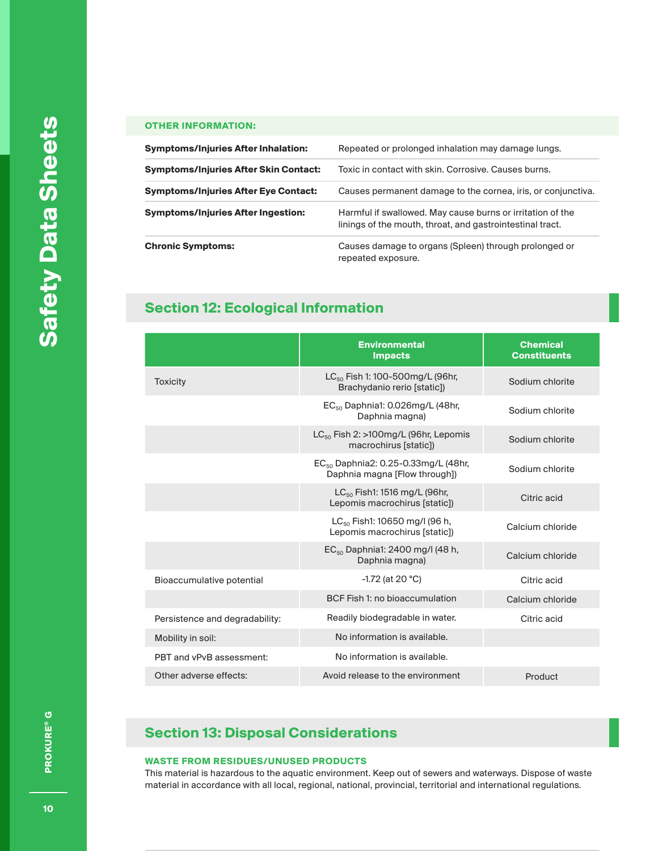### **OTHER INFORMATION:**

| Symptoms/Injuries After Inhalation:   | Repeated or prolonged inhalation may damage lungs.                                                                      |
|---------------------------------------|-------------------------------------------------------------------------------------------------------------------------|
| Symptoms/Injuries After Skin Contact: | Toxic in contact with skin. Corrosive. Causes burns.                                                                    |
| Symptoms/Injuries After Eye Contact:  | Causes permanent damage to the cornea, iris, or conjunctiva.                                                            |
| Symptoms/Injuries After Ingestion:    | Harmful if swallowed. May cause burns or irritation of the<br>linings of the mouth, throat, and gastrointestinal tract. |
| <b>Chronic Symptoms:</b>              | Causes damage to organs (Spleen) through prolonged or<br>repeated exposure.                                             |

# **Section 12: Ecological Information**

|                                | <b>Environmental</b><br><b>Impacts</b>                                           | <b>Chemical</b><br><b>Constituents</b> |
|--------------------------------|----------------------------------------------------------------------------------|----------------------------------------|
| <b>Toxicity</b>                | $LC_{50}$ Fish 1: 100-500mg/L (96hr,<br>Brachydanio rerio [static])              | Sodium chlorite                        |
|                                | $EC_{50}$ Daphnia1: 0.026mg/L (48hr,<br>Daphnia magna)                           | Sodium chlorite                        |
|                                | $LC_{50}$ Fish 2: >100mg/L (96hr, Lepomis<br>macrochirus [static])               | Sodium chlorite                        |
|                                | EC <sub>50</sub> Daphnia2: 0.25-0.33mg/L (48hr,<br>Daphnia magna [Flow through]) | Sodium chlorite                        |
|                                | $LC_{50}$ Fish1: 1516 mg/L (96hr,<br>Lepomis macrochirus [static])               | Citric acid                            |
|                                | $LC_{50}$ Fish1: 10650 mg/l (96 h,<br>Lepomis macrochirus [static])              | Calcium chloride                       |
|                                | EC <sub>50</sub> Daphnia1: 2400 mg/l (48 h,<br>Daphnia magna)                    | Calcium chloride                       |
| Bioaccumulative potential      | $-1.72$ (at 20 °C)                                                               | Citric acid                            |
|                                | BCF Fish 1: no bioaccumulation                                                   | Calcium chloride                       |
| Persistence and degradability: | Readily biodegradable in water.                                                  | Citric acid                            |
| Mobility in soil:              | No information is available.                                                     |                                        |
| PBT and vPvB assessment:       | No information is available.                                                     |                                        |
| Other adverse effects:         | Avoid release to the environment                                                 | Product                                |

# **Section 13: Disposal Considerations**

#### **WASTE FROM RESIDUES/UNUSED PRODUCTS**

This material is hazardous to the aquatic environment. Keep out of sewers and waterways. Dispose of waste material in accordance with all local, regional, national, provincial, territorial and international regulations.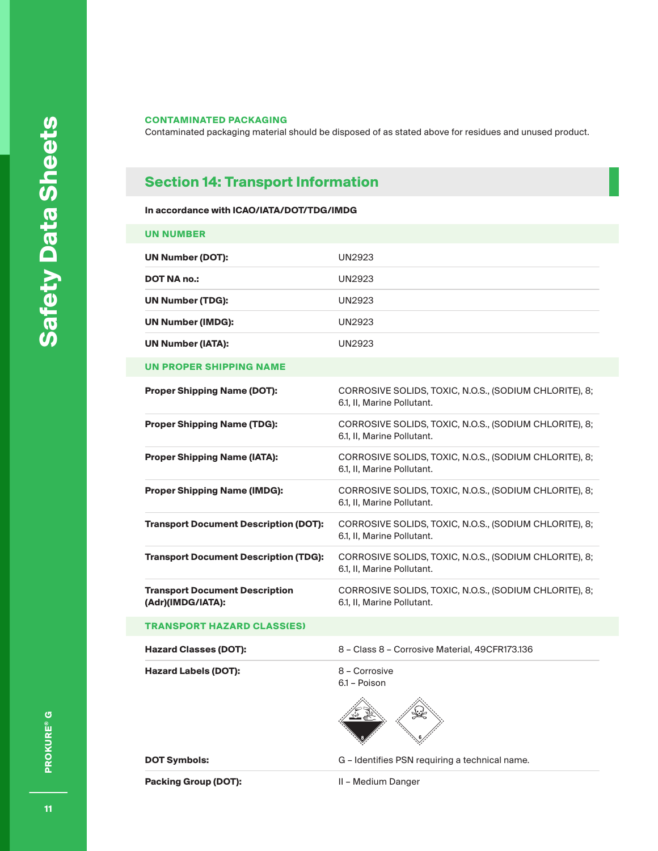Contaminated packaging material should be disposed of as stated above for residues and unused product.

# **Section 14: Transport Information**

#### **In accordance with ICAO/IATA/DOT/TDG/IMDG**

| <b>UN NUMBER</b>                                           |                                                                                      |
|------------------------------------------------------------|--------------------------------------------------------------------------------------|
| <b>UN Number (DOT):</b>                                    | <b>UN2923</b>                                                                        |
| <b>DOT NA no.:</b>                                         | <b>UN2923</b>                                                                        |
| <b>UN Number (TDG):</b>                                    | UN2923                                                                               |
| <b>UN Number (IMDG):</b>                                   | <b>UN2923</b>                                                                        |
| <b>UN Number (IATA):</b>                                   | UN2923                                                                               |
| <b>UN PROPER SHIPPING NAME</b>                             |                                                                                      |
| <b>Proper Shipping Name (DOT):</b>                         | CORROSIVE SOLIDS, TOXIC, N.O.S., (SODIUM CHLORITE), 8;<br>6.1, II, Marine Pollutant. |
| <b>Proper Shipping Name (TDG):</b>                         | CORROSIVE SOLIDS, TOXIC, N.O.S., (SODIUM CHLORITE), 8;<br>6.1, II, Marine Pollutant. |
| <b>Proper Shipping Name (IATA):</b>                        | CORROSIVE SOLIDS, TOXIC, N.O.S., (SODIUM CHLORITE), 8;<br>6.1, II, Marine Pollutant. |
| <b>Proper Shipping Name (IMDG):</b>                        | CORROSIVE SOLIDS, TOXIC, N.O.S., (SODIUM CHLORITE), 8;<br>6.1, II, Marine Pollutant. |
| <b>Transport Document Description (DOT):</b>               | CORROSIVE SOLIDS, TOXIC, N.O.S., (SODIUM CHLORITE), 8;<br>6.1, II, Marine Pollutant. |
| <b>Transport Document Description (TDG):</b>               | CORROSIVE SOLIDS, TOXIC, N.O.S., (SODIUM CHLORITE), 8;<br>6.1, II, Marine Pollutant. |
| <b>Transport Document Description</b><br>(Adr)(IMDG/IATA): | CORROSIVE SOLIDS, TOXIC, N.O.S., (SODIUM CHLORITE), 8;<br>6.1, II, Marine Pollutant. |
| <b>TRANSPORT HAZARD CLASS(ES)</b>                          |                                                                                      |
| <b>Hazard Classes (DOT):</b>                               | 8 - Class 8 - Corrosive Material, 49CFR173.136                                       |
| <b>Hazard Labels (DOT):</b>                                | 8 - Corrosive<br>6.1 - Poison                                                        |
| <b>DOT Symbols:</b>                                        | G – Identifies PSN requiring a technical name.                                       |
| Packing Group (DOT):                                       | II - Medium Danger                                                                   |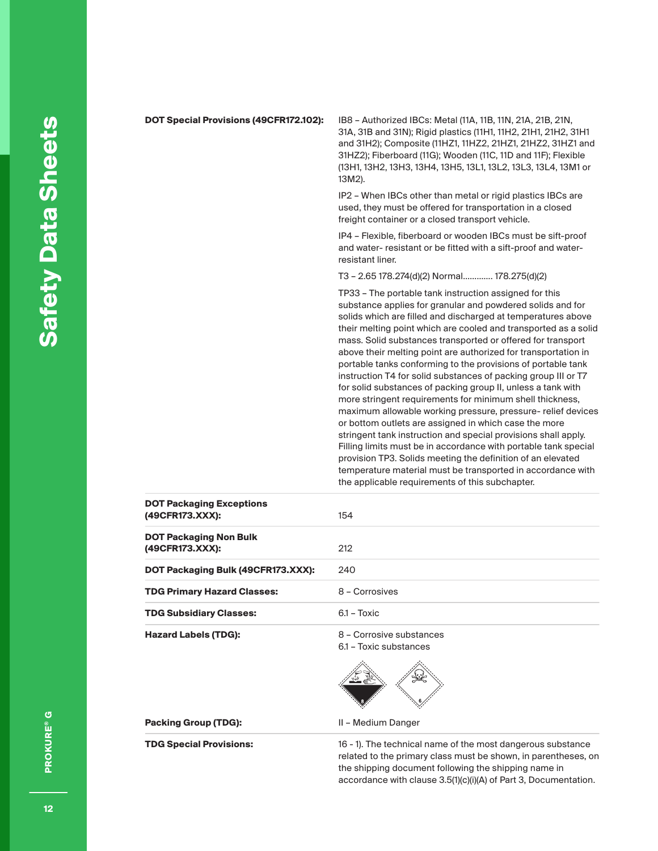| DOT Special Provisions (49CFR172.102):             | IB8 - Authorized IBCs: Metal (11A, 11B, 11N, 21A, 21B, 21N,<br>31A, 31B and 31N); Rigid plastics (11H1, 11H2, 21H1, 21H2, 31H1<br>and 31H2); Composite (11HZ1, 11HZ2, 21HZ1, 21HZ2, 31HZ1 and<br>31HZ2); Fiberboard (11G); Wooden (11C, 11D and 11F); Flexible<br>(13H1, 13H2, 13H3, 13H4, 13H5, 13L1, 13L2, 13L3, 13L4, 13M1 or<br>13M2).                                                                                                                                                                                                                                                                                                                                                                                                                                                                                                                                                                                                                                                                                                                                                            |
|----------------------------------------------------|-------------------------------------------------------------------------------------------------------------------------------------------------------------------------------------------------------------------------------------------------------------------------------------------------------------------------------------------------------------------------------------------------------------------------------------------------------------------------------------------------------------------------------------------------------------------------------------------------------------------------------------------------------------------------------------------------------------------------------------------------------------------------------------------------------------------------------------------------------------------------------------------------------------------------------------------------------------------------------------------------------------------------------------------------------------------------------------------------------|
|                                                    | IP2 - When IBCs other than metal or rigid plastics IBCs are<br>used, they must be offered for transportation in a closed<br>freight container or a closed transport vehicle.                                                                                                                                                                                                                                                                                                                                                                                                                                                                                                                                                                                                                                                                                                                                                                                                                                                                                                                          |
|                                                    | IP4 - Flexible, fiberboard or wooden IBCs must be sift-proof<br>and water- resistant or be fitted with a sift-proof and water-<br>resistant liner.                                                                                                                                                                                                                                                                                                                                                                                                                                                                                                                                                                                                                                                                                                                                                                                                                                                                                                                                                    |
|                                                    | T3 - 2.65 178.274(d)(2) Normal 178.275(d)(2)                                                                                                                                                                                                                                                                                                                                                                                                                                                                                                                                                                                                                                                                                                                                                                                                                                                                                                                                                                                                                                                          |
|                                                    | TP33 - The portable tank instruction assigned for this<br>substance applies for granular and powdered solids and for<br>solids which are filled and discharged at temperatures above<br>their melting point which are cooled and transported as a solid<br>mass. Solid substances transported or offered for transport<br>above their melting point are authorized for transportation in<br>portable tanks conforming to the provisions of portable tank<br>instruction T4 for solid substances of packing group III or T7<br>for solid substances of packing group II, unless a tank with<br>more stringent requirements for minimum shell thickness,<br>maximum allowable working pressure, pressure- relief devices<br>or bottom outlets are assigned in which case the more<br>stringent tank instruction and special provisions shall apply.<br>Filling limits must be in accordance with portable tank special<br>provision TP3. Solids meeting the definition of an elevated<br>temperature material must be transported in accordance with<br>the applicable requirements of this subchapter. |
| <b>DOT Packaging Exceptions</b><br>(49CFR173.XXX): | 154                                                                                                                                                                                                                                                                                                                                                                                                                                                                                                                                                                                                                                                                                                                                                                                                                                                                                                                                                                                                                                                                                                   |
| <b>DOT Packaging Non Bulk</b><br>(49CFR173.XXX):   | 212                                                                                                                                                                                                                                                                                                                                                                                                                                                                                                                                                                                                                                                                                                                                                                                                                                                                                                                                                                                                                                                                                                   |
| DOT Packaging Bulk (49CFR173.XXX):                 | 240                                                                                                                                                                                                                                                                                                                                                                                                                                                                                                                                                                                                                                                                                                                                                                                                                                                                                                                                                                                                                                                                                                   |
| <b>TDG Primary Hazard Classes:</b>                 | 8 - Corrosives                                                                                                                                                                                                                                                                                                                                                                                                                                                                                                                                                                                                                                                                                                                                                                                                                                                                                                                                                                                                                                                                                        |
| <b>TDG Subsidiary Classes:</b>                     | 6.1 - Toxic                                                                                                                                                                                                                                                                                                                                                                                                                                                                                                                                                                                                                                                                                                                                                                                                                                                                                                                                                                                                                                                                                           |
| <b>Hazard Labels (TDG):</b>                        | 8 - Corrosive substances<br>6.1 - Toxic substances                                                                                                                                                                                                                                                                                                                                                                                                                                                                                                                                                                                                                                                                                                                                                                                                                                                                                                                                                                                                                                                    |
|                                                    |                                                                                                                                                                                                                                                                                                                                                                                                                                                                                                                                                                                                                                                                                                                                                                                                                                                                                                                                                                                                                                                                                                       |
| <b>Packing Group (TDG):</b>                        | II - Medium Danger                                                                                                                                                                                                                                                                                                                                                                                                                                                                                                                                                                                                                                                                                                                                                                                                                                                                                                                                                                                                                                                                                    |
| <b>TDG Special Provisions:</b>                     | 16 - 1). The technical name of the most dangerous substance                                                                                                                                                                                                                                                                                                                                                                                                                                                                                                                                                                                                                                                                                                                                                                                                                                                                                                                                                                                                                                           |

related to the primary class must be shown, in parentheses, on the shipping document following the shipping name in accordance with clause 3.5(1)(c)(i)(A) of Part 3, Documentation.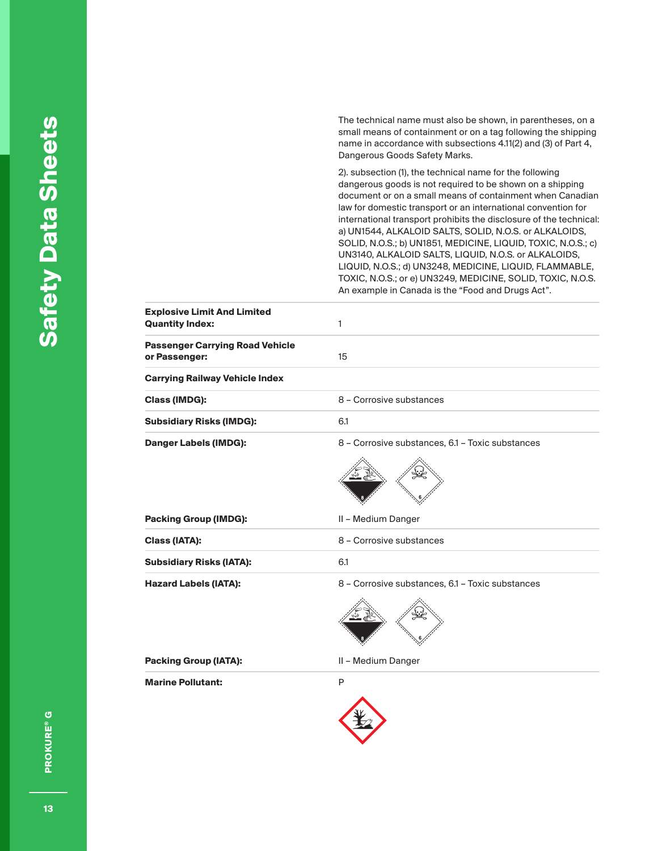The technical name must also be shown, in parentheses, on a small means of containment or on a tag following the shipping name in accordance with subsections 4.11(2) and (3) of Part 4, Dangerous Goods Safety Marks.

2). subsection (1), the technical name for the following dangerous goods is not required to be shown on a shipping document or on a small means of containment when Canadian law for domestic transport or an international convention for international transport prohibits the disclosure of the technical: a) UN1544, ALKALOID SALTS, SOLID, N.O.S. or ALKALOIDS, SOLID, N.O.S.; b) UN1851, MEDICINE, LIQUID, TOXIC, N.O.S.; c) UN3140, ALKALOID SALTS, LIQUID, N.O.S. or ALKALOIDS, LIQUID, N.O.S.; d) UN3248, MEDICINE, LIQUID, FLAMMABLE, TOXIC, N.O.S.; or e) UN3249, MEDICINE, SOLID, TOXIC, N.O.S. An example in Canada is the "Food and Drugs Act".

| <b>Explosive Limit And Limited</b><br><b>Quantity Index:</b> | 1                                                |
|--------------------------------------------------------------|--------------------------------------------------|
| <b>Passenger Carrying Road Vehicle</b><br>or Passenger:      | 15                                               |
| <b>Carrying Railway Vehicle Index</b>                        |                                                  |
| <b>Class (IMDG):</b>                                         | 8 - Corrosive substances                         |
| <b>Subsidiary Risks (IMDG):</b>                              | 6.1                                              |
| <b>Danger Labels (IMDG):</b>                                 | 8 - Corrosive substances, 6.1 - Toxic substances |
|                                                              |                                                  |
| <b>Packing Group (IMDG):</b>                                 | II - Medium Danger                               |
| <b>Class (IATA):</b>                                         | 8 - Corrosive substances                         |
| <b>Subsidiary Risks (IATA):</b>                              | 6.1                                              |
| <b>Hazard Labels (IATA):</b>                                 | 8 - Corrosive substances, 6.1 - Toxic substances |
|                                                              |                                                  |
| <b>Packing Group (IATA):</b>                                 | II - Medium Danger                               |
| <b>Marine Pollutant:</b>                                     | P                                                |
|                                                              |                                                  |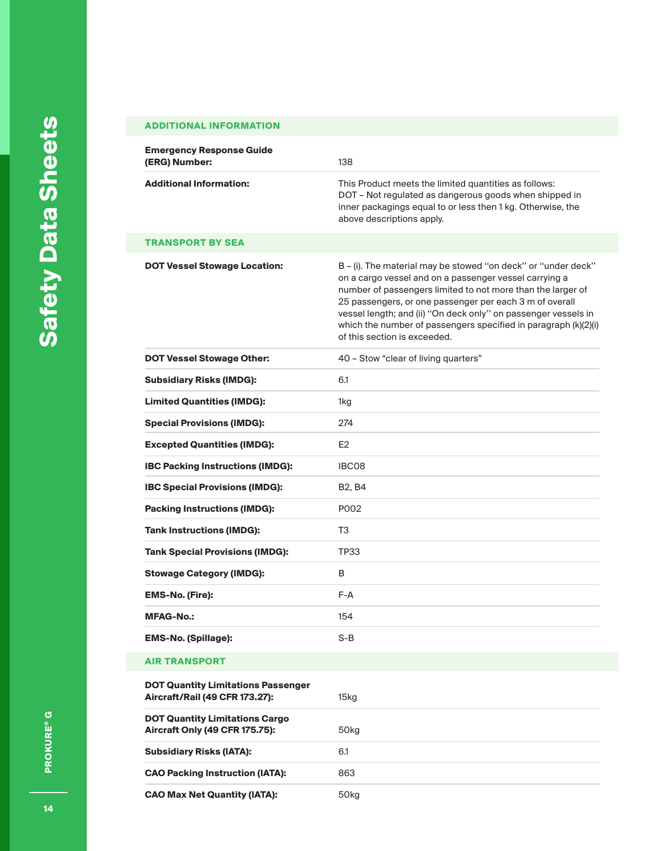### **ADDITIONAL INFORMATION**

| <b>Emergency Response Guide</b><br>(ERG) Number:                            | 138                                                                                                                                                                                                                                                                                                                                                                                                                    |
|-----------------------------------------------------------------------------|------------------------------------------------------------------------------------------------------------------------------------------------------------------------------------------------------------------------------------------------------------------------------------------------------------------------------------------------------------------------------------------------------------------------|
| <b>Additional Information:</b>                                              | This Product meets the limited quantities as follows:<br>DOT - Not regulated as dangerous goods when shipped in<br>inner packagings equal to or less then 1 kg. Otherwise, the<br>above descriptions apply.                                                                                                                                                                                                            |
| TRANSPORT BY SEA                                                            |                                                                                                                                                                                                                                                                                                                                                                                                                        |
| <b>DOT Vessel Stowage Location:</b>                                         | B - (i). The material may be stowed "on deck" or "under deck"<br>on a cargo vessel and on a passenger vessel carrying a<br>number of passengers limited to not more than the larger of<br>25 passengers, or one passenger per each 3 m of overall<br>vessel length; and (ii) "On deck only" on passenger vessels in<br>which the number of passengers specified in paragraph (k)(2)(i)<br>of this section is exceeded. |
| <b>DOT Vessel Stowage Other:</b>                                            | 40 - Stow "clear of living quarters"                                                                                                                                                                                                                                                                                                                                                                                   |
| <b>Subsidiary Risks (IMDG):</b>                                             | 6.1                                                                                                                                                                                                                                                                                                                                                                                                                    |
| <b>Limited Quantities (IMDG):</b>                                           | 1kg                                                                                                                                                                                                                                                                                                                                                                                                                    |
| <b>Special Provisions (IMDG):</b>                                           | 274                                                                                                                                                                                                                                                                                                                                                                                                                    |
| <b>Excepted Quantities (IMDG):</b>                                          | E <sub>2</sub>                                                                                                                                                                                                                                                                                                                                                                                                         |
| <b>IBC Packing Instructions (IMDG):</b>                                     | IBC08                                                                                                                                                                                                                                                                                                                                                                                                                  |
| <b>IBC Special Provisions (IMDG):</b>                                       | B <sub>2</sub> , B <sub>4</sub>                                                                                                                                                                                                                                                                                                                                                                                        |
| <b>Packing Instructions (IMDG):</b>                                         | P002                                                                                                                                                                                                                                                                                                                                                                                                                   |
| <b>Tank Instructions (IMDG):</b>                                            | T3                                                                                                                                                                                                                                                                                                                                                                                                                     |
| <b>Tank Special Provisions (IMDG):</b>                                      | <b>TP33</b>                                                                                                                                                                                                                                                                                                                                                                                                            |
| <b>Stowage Category (IMDG):</b>                                             | B                                                                                                                                                                                                                                                                                                                                                                                                                      |
| <b>EMS-No. (Fire):</b>                                                      | F-A                                                                                                                                                                                                                                                                                                                                                                                                                    |
| <b>MFAG-No.:</b>                                                            | 154                                                                                                                                                                                                                                                                                                                                                                                                                    |
| <b>EMS-No. (Spillage):</b>                                                  | $S-B$                                                                                                                                                                                                                                                                                                                                                                                                                  |
| <b>AIR TRANSPORT</b>                                                        |                                                                                                                                                                                                                                                                                                                                                                                                                        |
| <b>DOT Quantity Limitations Passenger</b><br>Aircraft/Rail (49 CFR 173.27): | 15 <sub>kg</sub>                                                                                                                                                                                                                                                                                                                                                                                                       |
| <b>DOT Quantity Limitations Cargo</b><br>Aircraft Only (49 CFR 175.75):     | 50 <sub>kg</sub>                                                                                                                                                                                                                                                                                                                                                                                                       |
| <b>Subsidiary Risks (IATA):</b>                                             | 6.1                                                                                                                                                                                                                                                                                                                                                                                                                    |
| <b>CAO Packing Instruction (IATA):</b>                                      | 863                                                                                                                                                                                                                                                                                                                                                                                                                    |
| <b>CAO Max Net Quantity (IATA):</b>                                         | 50 <sub>kg</sub>                                                                                                                                                                                                                                                                                                                                                                                                       |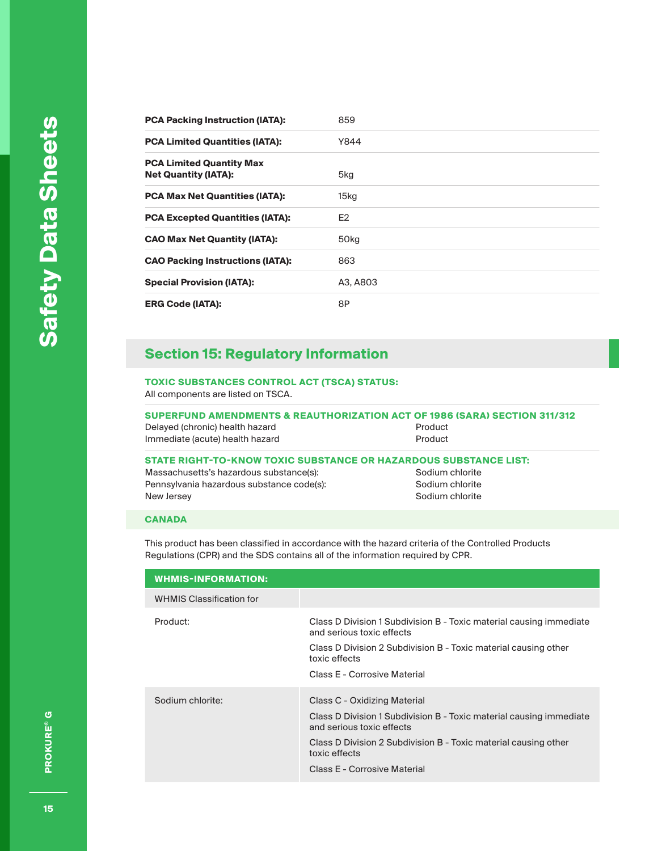| 859              |
|------------------|
| Y844             |
| 5kg              |
| 15kg             |
| E <sub>2</sub>   |
| 50 <sub>kg</sub> |
| 863              |
| A3, A803         |
| 8P               |
|                  |

### **Section 15: Regulatory Information**

### **TOXIC SUBSTANCES CONTROL ACT (TSCA) STATUS:**

All components are listed on TSCA.

**SUPERFUND AMENDMENTS & REAUTHORIZATION ACT OF 1986 (SARA) SECTION 311/312** Delayed (chronic) health hazard **Product** Product Immediate (acute) health hazard **Product** Product

|  |  |  |  |  | STATE RIGHT-TO-KNOW TOXIC SUBSTANCE OR HAZARDOUS SUBSTANCE LIST: |  |
|--|--|--|--|--|------------------------------------------------------------------|--|
|  |  |  |  |  |                                                                  |  |

Massachusetts's hazardous substance(s): Sodium chlorite Pennsylvania hazardous substance code(s): Sodium chlorite New Jersey **New Jersey** Sodium chlorite

#### **CANADA**

This product has been classified in accordance with the hazard criteria of the Controlled Products Regulations (CPR) and the SDS contains all of the information required by CPR.

| <b>WHMIS-INFORMATION:</b>       |                                                                                                  |
|---------------------------------|--------------------------------------------------------------------------------------------------|
| <b>WHMIS Classification for</b> |                                                                                                  |
| Product:                        | Class D Division 1 Subdivision B - Toxic material causing immediate<br>and serious toxic effects |
|                                 | Class D Division 2 Subdivision B - Toxic material causing other<br>toxic effects                 |
|                                 | Class E - Corrosive Material                                                                     |
| Sodium chlorite:                | Class C - Oxidizing Material                                                                     |
|                                 | Class D Division 1 Subdivision B - Toxic material causing immediate<br>and serious toxic effects |
|                                 | Class D Division 2 Subdivision B - Toxic material causing other<br>toxic effects                 |
|                                 | Class E - Corrosive Material                                                                     |